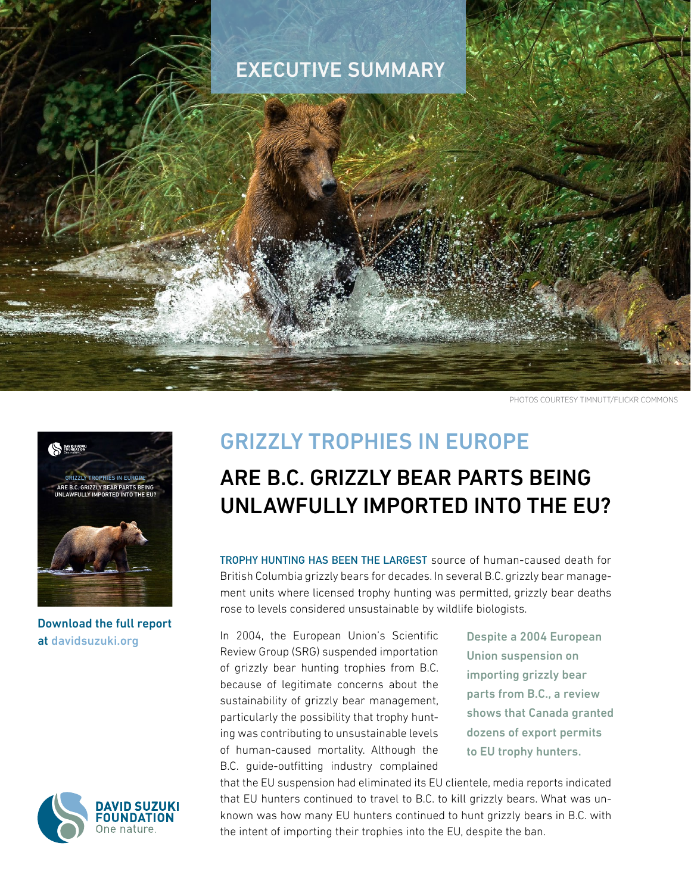## EXECUTIVE SUMMARY

PHOTOS COURTESY TIMNUTT/FLICKR COMMONS



Download the full report at [davidsuzuki.org](https://davidsuzuki.org/)



## GRIZZLY TROPHIES IN EUROPE

## ARE B.C. GRIZZLY BEAR PARTS BEING UNLAWFULLY IMPORTED INTO THE FU?

TROPHY HUNTING HAS BEEN THE LARGEST source of human-caused death for British Columbia grizzly bears for decades. In several B.C. grizzly bear management units where licensed trophy hunting was permitted, grizzly bear deaths rose to levels considered unsustainable by wildlife biologists.

In 2004, the European Union's Scientific Review Group (SRG) suspended importation of grizzly bear hunting trophies from B.C. because of legitimate concerns about the sustainability of grizzly bear management, particularly the possibility that trophy hunting was contributing to unsustainable levels of human-caused mortality. Although the B.C. guide-outfitting industry complained

Despite a 2004 European Union suspension on importing grizzly bear parts from B.C., a review shows that Canada granted dozens of export permits to EU trophy hunters.

that the EU suspension had eliminated its EU clientele, media reports indicated that EU hunters continued to travel to B.C. to kill grizzly bears. What was unknown was how many EU hunters continued to hunt grizzly bears in B.C. with the intent of importing their trophies into the EU, despite the ban.